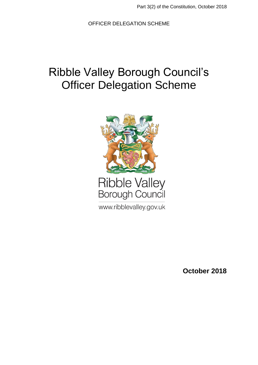# Ribble Valley Borough Council's **Officer Delegation Scheme**



www.ribblevalley.gov.uk

**October 2018**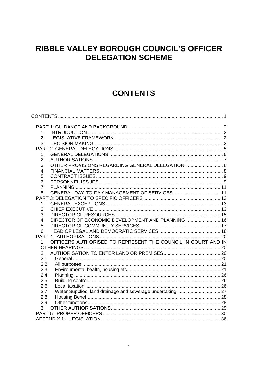## RIBBLE VALLEY BOROUGH COUNCIL'S OFFICER **DELEGATION SCHEME**

## **CONTENTS**

<span id="page-1-0"></span>

| 1.                                                                 |  |
|--------------------------------------------------------------------|--|
| 2.                                                                 |  |
| 3.                                                                 |  |
|                                                                    |  |
| 1.                                                                 |  |
| 2.                                                                 |  |
| OTHER PROVISIONS REGARDING GENERAL DELEGATION  8<br>3.             |  |
| 4.                                                                 |  |
| 5.                                                                 |  |
| 6.                                                                 |  |
| 7.                                                                 |  |
| 8.                                                                 |  |
|                                                                    |  |
| 1.                                                                 |  |
| 2.                                                                 |  |
| 3.                                                                 |  |
| DIRECTOR OF ECONOMIC DEVELOPMENT AND PLANNING 16<br>4.             |  |
| 5.                                                                 |  |
| 6.                                                                 |  |
|                                                                    |  |
| OFFICERS AUTHORISED TO REPRESENT THE COUNCIL IN COURT AND IN<br>1. |  |
|                                                                    |  |
| 2.                                                                 |  |
| 2.1                                                                |  |
| 2.2                                                                |  |
| 2.3                                                                |  |
| 2.4                                                                |  |
| 2.5                                                                |  |
| 2.6                                                                |  |
| 2.7                                                                |  |
| 2.8                                                                |  |
| 2.9                                                                |  |
| 3 <sub>1</sub>                                                     |  |
|                                                                    |  |
|                                                                    |  |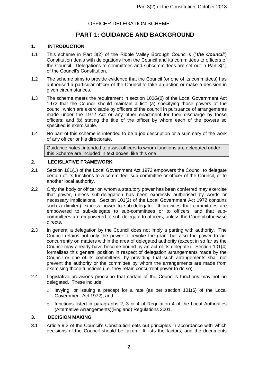## **PART 1: GUIDANCE AND BACKGROUND**

#### <span id="page-2-1"></span><span id="page-2-0"></span>**1. INTRODUCTION**

- 1.1 This scheme in Part 3(2) of the Ribble Valley Borough Council's ("*the Council"*) Constitution deals with delegations from the Council and its committees to officers of the Council. Delegations to committees and subcommittees are set out in Part 3(1) of the Council's Constitution.
- 1.2 The scheme aims to provide evidence that the Council (or one of its committees) has authorised a particular officer of the Council to take an action or make a decision in given circumstances.
- 1.3 The scheme meets the requirement in section 100G(2) of the Local Government Act 1972 that the Council should maintain a list: (a) specifying those powers of the council which are exercisable by officers of the council in pursuance of arrangements made under the 1972 Act or any other enactment for their discharge by those officers; and (b) stating the title of the officer by whom each of the powers so specified is exercisable.
- 1.4 No part of this scheme is intended to be a job description or a summary of the work of any officer or his directorate.

Guidance notes, intended to assist officers to whom functions are delegated under this Scheme are included in text boxes, like this one.

#### <span id="page-2-2"></span>**2. LEGISLATIVE FRAMEWORK**

- 2.1 Section 101(1) of the Local Government Act 1972 empowers the Council to delegate certain of its functions to a committee, sub-committee or officer of the Council, or to another local authority.
- 2.2 Only the body or officer on whom a statutory power has been conferred may exercise that power, unless sub-delegation has been expressly authorised by words or necessary implications. Section 101(2) of the Local Government Act 1972 contains such a (limited) express power to sub-delegate. It provides that committees are empowered to sub-delegate to sub-committees or to officers, and that subcommittees are empowered to sub-delegate to officers, unless the Council otherwise directs.
- 2.3 In general a delegation by the Council does not imply a parting with authority. The Council retains not only the power to revoke the grant but also the power to act concurrently on matters within the area of delegated authority (except in so far as the Council may already have become bound by an act of its delegate). Section 101(4) formalises this general position in respect of delegation arrangements made by the Council or one of its committees, by providing that such arrangements shall not prevent the authority or the committee by whom the arrangements are made from exercising those functions (i.e. they retain concurrent power to do so).
- 2.4 Legislative provisions prescribe that certain of the Council's functions may not be delegated. These include:
	- o levying, or issuing a precept for a rate (as per section 101(6) of the Local Government Act 1972); and
	- $\circ$  functions listed in paragraphs 2, 3 or 4 of Regulation 4 of the Local Authorities (Alternative Arrangements)(England) Regulations 2001.

#### <span id="page-2-3"></span>**3. DECISION MAKING**

3.1 Article 9.2 of the Council's Constitution sets out principles in accordance with which decisions of the Council should be taken. It lists the factors, and the documents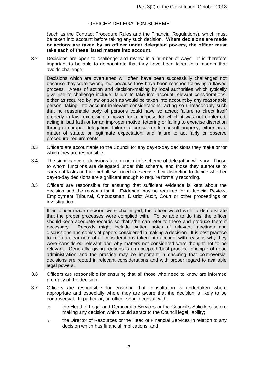(such as the Contract Procedure Rules and the Financial Regulations), which must be taken into account before taking any such decision. **Where decisions are made or actions are taken by an officer under delegated powers, the officer must take each of these listed matters into account.**

3.2 Decisions are open to challenge and review in a number of ways. It is therefore important to be able to demonstrate that they have been taken in a manner that avoids challenge.

Decisions which are overturned will often have been successfully challenged not because they were 'wrong' but because they have been reached following a flawed process. Areas of action and decision-making by local authorities which typically give rise to challenge include: failure to take into account relevant considerations, either as required by law or such as would be taken into account by any reasonable person; taking into account irrelevant considerations; acting so unreasonably such that no reasonable body of persons could have so acted; failure to direct itself properly in law; exercising a power for a purpose for which it was not conferred; acting in bad faith or for an improper motive, fettering or failing to exercise discretion through improper delegation; failure to consult or to consult properly, either as a matter of statute or legitimate expectation; and failure to act fairly or observe procedural requirements.

- 3.3 Officers are accountable to the Council for any day-to-day decisions they make or for which they are responsible.
- 3.4 The significance of decisions taken under this scheme of delegation will vary. Those to whom functions are delegated under this scheme, and those they authorise to carry out tasks on their behalf, will need to exercise their discretion to decide whether day-to-day decisions are significant enough to require formally recording.
- 3.5 Officers are responsible for ensuring that sufficient evidence is kept about the decision and the reasons for it. Evidence may be required for a Judicial Review, Employment Tribunal, Ombudsman, District Audit, Court or other proceedings or investigation.

If an officer-made decision were challenged, the officer would wish to demonstrate that the proper processes were complied with. To be able to do this, the officer should keep adequate records so that s/he can refer to these and produce them if necessary. Records might include written notes of relevant meetings and discussions and copies of papers considered in making a decision. It is best practice to keep a clear note of all considerations taken into account with reasons why they were considered relevant and why matters not considered were thought not to be relevant. Generally, giving reasons is an accepted 'best practice' principle of good administration and the practice may be important in ensuring that controversial decisions are rooted in relevant considerations and with proper regard to available legal powers.

- 3.6 Officers are responsible for ensuring that all those who need to know are informed promptly of the decision.
- 3.7 Officers are responsible for ensuring that consultation is undertaken where appropriate and especially where they are aware that the decision is likely to be controversial. In particular, an officer should consult with:
	- o the Head of Legal and Democratic Services or the Council's Solicitors before making any decision which could attract to the Council legal liability;
	- o the Director of Resources or the Head of Financial Services in relation to any decision which has financial implications; and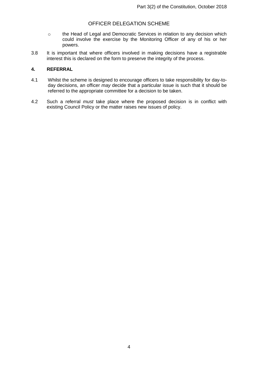- o the Head of Legal and Democratic Services in relation to any decision which could involve the exercise by the Monitoring Officer of any of his or her powers.
- 3.8 It is important that where officers involved in making decisions have a registrable interest this is declared on the form to preserve the integrity of the process.

#### **4. REFERRAL**

- 4.1 Whilst the scheme is designed to encourage officers to take responsibility for day-today decisions, an officer *may* decide that a particular issue is such that it should be referred to the appropriate committee for a decision to be taken.
- 4.2 Such a referral *must* take place where the proposed decision is in conflict with existing Council Policy or the matter raises new issues of policy.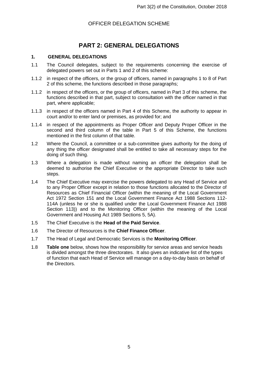## **PART 2: GENERAL DELEGATIONS**

#### <span id="page-5-1"></span><span id="page-5-0"></span>**1. GENERAL DELEGATIONS**

- 1.1 The Council delegates, subject to the requirements concerning the exercise of delegated powers set out in Parts 1 and 2 of this scheme:
- 1.1.2 in respect of the officers, or the group of officers, named in paragraphs 1 to 8 of Part 2 of this scheme, the functions described in those paragraphs;
- 1.1.2 in respect of the officers, or the group of officers, named in Part 3 of this scheme, the functions described in that part, subject to consultation with the officer named in that part, where applicable;
- 1.1.3 in respect of the officers named in Part 4 of this Scheme, the authority to appear in court and/or to enter land or premises, as provided for; and
- 1.1.4 in respect of the appointments as Proper Officer and Deputy Proper Officer in the second and third column of the table in Part 5 of this Scheme, the functions mentioned in the first column of that table.
- 1.2 Where the Council, a committee or a sub-committee gives authority for the doing of any thing the officer designated shall be entitled to take all necessary steps for the doing of such thing.
- 1.3 Where a delegation is made without naming an officer the delegation shall be deemed to authorise the Chief Executive or the appropriate Director to take such steps.
- 1.4 The Chief Executive may exercise the powers delegated to any Head of Service and to any Proper Officer except in relation to those functions allocated to the Director of Resources as Chief Financial Officer (within the meaning of the Local Government Act 1972 Section 151 and the Local Government Finance Act 1988 Sections 112- 114A (unless he or she is qualified under the Local Government Finance Act 1988 Section 113)) and to the Monitoring Officer (within the meaning of the Local Government and Housing Act 1989 Sections 5, 5A).
- 1.5 The Chief Executive is the **Head of the Paid Service**.
- 1.6 The Director of Resources is the **Chief Finance Officer**.
- 1.7 The Head of Legal and Democratic Services is the **Monitoring Officer**.
- 1.8 **Table one** below, shows how the responsibility for service areas and service heads is divided amongst the three directorates. It also gives an indicative list of the types of function that each Head of Service will manage on a day-to-day basis on behalf of the Directors.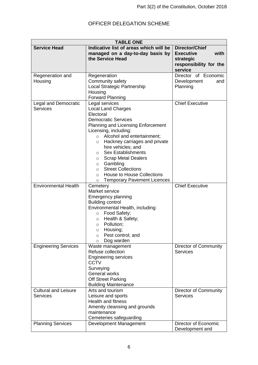| <b>TABLE ONE</b>                               |                                                                                                                                                                                                                                                                                                                                                                                                                                                                                                                 |                                                                                                     |  |
|------------------------------------------------|-----------------------------------------------------------------------------------------------------------------------------------------------------------------------------------------------------------------------------------------------------------------------------------------------------------------------------------------------------------------------------------------------------------------------------------------------------------------------------------------------------------------|-----------------------------------------------------------------------------------------------------|--|
| <b>Service Head</b>                            | Indicative list of areas which will be<br>managed on a day-to-day basis by<br>the Service Head                                                                                                                                                                                                                                                                                                                                                                                                                  | <b>Director/Chief</b><br><b>Executive</b><br>with<br>strategic<br>responsibility for the<br>service |  |
| Regeneration and<br>Housing                    | Regeneration<br>Community safety<br>Local Strategic Partnership<br>Housing<br><b>Forward Planning</b>                                                                                                                                                                                                                                                                                                                                                                                                           | Director of Economic<br>Development<br>and<br>Planning                                              |  |
| <b>Legal and Democratic</b><br><b>Services</b> | Legal services<br><b>Local Land Charges</b><br>Electoral<br><b>Democratic Services</b><br><b>Planning and Licensing Enforcement</b><br>Licensing, including:<br>o Alcohol and entertainment;<br>Hackney carriages and private<br>$\circ$<br>hire vehicles; and<br><b>Sex Establishments</b><br>$\circ$<br><b>Scrap Metal Dealers</b><br>$\circ$<br>Gambling<br>$\circ$<br><b>Street Collections</b><br>$\circ$<br><b>House to House Collections</b><br>$\circ$<br><b>Temporary Pavement Licences</b><br>$\circ$ | <b>Chief Executive</b>                                                                              |  |
| <b>Environmental Health</b>                    | Cemetery<br>Market service<br><b>Emergency planning</b><br><b>Building control</b><br>Environmental Health, including:<br>Food Safety;<br>$\circ$<br>Health & Safety;<br>$\circ$<br>Pollution;<br>$\circ$<br>Housing;<br>$\circ$<br>Pest control; and<br>O<br>Dog warden<br>O                                                                                                                                                                                                                                   | <b>Chief Executive</b>                                                                              |  |
| <b>Engineering Services</b>                    | Waste management<br>Refuse collection<br><b>Engineering services</b><br><b>CCTV</b><br>Surveying<br>General works<br><b>Off Street Parking</b><br><b>Building Maintenance</b>                                                                                                                                                                                                                                                                                                                                   | Director of Community<br><b>Services</b>                                                            |  |
| <b>Cultural and Leisure</b><br><b>Services</b> | Arts and tourism<br>Leisure and sports<br><b>Health and fitness</b><br>Amenity cleansing and grounds<br>maintenance<br>Cemeteries safeguarding                                                                                                                                                                                                                                                                                                                                                                  | Director of Community<br><b>Services</b>                                                            |  |
| <b>Planning Services</b>                       | Development Management                                                                                                                                                                                                                                                                                                                                                                                                                                                                                          | Director of Economic<br>Development and                                                             |  |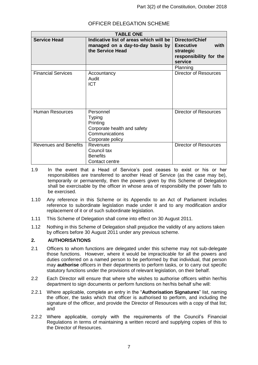| <b>TABLE ONE</b>             |                                                                                                             |                                                                                                     |  |
|------------------------------|-------------------------------------------------------------------------------------------------------------|-----------------------------------------------------------------------------------------------------|--|
| <b>Service Head</b>          | Indicative list of areas which will be<br>managed on a day-to-day basis by<br>the Service Head              | <b>Director/Chief</b><br><b>Executive</b><br>with<br>strategic<br>responsibility for the<br>service |  |
|                              |                                                                                                             | Planning                                                                                            |  |
| <b>Financial Services</b>    | Accountancy<br>Audit<br><b>ICT</b>                                                                          | <b>Director of Resources</b>                                                                        |  |
| <b>Human Resources</b>       | Personnel<br><b>Typing</b><br>Printing<br>Corporate health and safety<br>Communications<br>Corporate policy | <b>Director of Resources</b>                                                                        |  |
| <b>Revenues and Benefits</b> | <b>Revenues</b><br>Council tax<br><b>Benefits</b><br>Contact centre                                         | <b>Director of Resources</b>                                                                        |  |

- 1.9 In the event that a Head of Service's post ceases to exist or his or her responsibilities are transferred to another Head of Service (as the case may be), temporarily or permanently, then the powers given by this Scheme of Delegation shall be exercisable by the officer in whose area of responsibility the power falls to be exercised.
- 1.10 Any reference in this Scheme or its Appendix to an Act of Parliament includes reference to subordinate legislation made under it and to any modification and/or replacement of it or of such subordinate legislation.
- 1.11 This Scheme of Delegation shall come into effect on 30 August 2011.
- 1.12 Nothing in this Scheme of Delegation shall prejudice the validity of any actions taken by officers before 30 August 2011 under any previous scheme.

#### <span id="page-7-0"></span>**2. AUTHORISATIONS**

- 2.1 Officers to whom functions are delegated under this scheme may not sub-delegate those functions. However, where it would be impracticable for all the powers and duties conferred on a named person to be performed by that individual, that person may **authorise** officers in their departments to perform tasks, or to carry out specific statutory functions under the provisions of relevant legislation, on their behalf.
- 2.2 Each Director will ensure that where s/he wishes to authorise officers within her/his department to sign documents or perform functions on her/his behalf s/he will:
- 2.2.1 Where applicable, complete an entry in the "**Authorisation Signatures**" list, naming the officer, the tasks which that officer is authorised to perform, and including the signature of the officer, and provide the Director of Resources with a copy of that list; and
- 2.2.2 Where applicable, comply with the requirements of the Council's Financial Regulations in terms of maintaining a written record and supplying copies of this to the Director of Resources.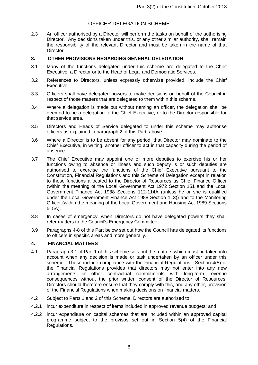2.3 An officer authorised by a Director will perform the tasks on behalf of the authorising Director. Any decisions taken under this, or any other similar authority, shall remain the responsibility of the relevant Director and must be taken in the name of that Director.

#### <span id="page-8-0"></span>**3. OTHER PROVISIONS REGARDING GENERAL DELEGATION**

- 3.1 Many of the functions delegated under this scheme are delegated to the Chief Executive, a Director or to the Head of Legal and Democratic Services.
- 3.2 References to Directors, unless expressly otherwise provided, include the Chief Executive.
- 3.3 Officers shall have delegated powers to make decisions on behalf of the Council in respect of those matters that are delegated to them within this scheme.
- 3.4 Where a delegation is made but without naming an officer, the delegation shall be deemed to be a delegation to the Chief Executive, or to the Director responsible for that service area.
- 3.5 Directors and Heads of Service delegated to under this scheme may authorise officers as explained in paragraph 2 of this Part, above.
- 3.6 Where a Director is to be absent for any period, that Director may nominate to the Chief Executive, in writing, another officer to act in that capacity during the period of absence.
- 3.7 The Chief Executive may appoint one or more deputies to exercise his or her functions owing to absence or illness and such deputy is or such deputies are authorised to exercise the functions of the Chief Executive pursuant to the Constitution, Financial Regulations and this Scheme of Delegation except in relation to those functions allocated to the Director of Resources as Chief Finance Officer (within the meaning of the Local Government Act 1972 Section 151 and the Local Government Finance Act 1988 Sections 112-114A (unless he or she is qualified under the Local Government Finance Act 1988 Section 113)) and to the Monitoring Officer (within the meaning of the Local Government and Housing Act 1989 Sections 5, 5A).
- 3.8 In cases of emergency, when Directors do not have delegated powers they shall refer matters to the Council's Emergency Committee.
- 3.9 Paragraphs 4-8 of this Part below set out how the Council has delegated its functions to officers in specific areas and more generally.

#### <span id="page-8-1"></span>**4. FINANCIAL MATTERS**

- 4.1 Paragraph 3.1 of Part 1 of this scheme sets out the matters which must be taken into account when any decision is made or task undertaken by an officer under this scheme. These include compliance with the Financial Regulations. Section 4(5) of the Financial Regulations provides that directors may not enter into any new arrangements or other contractual commitments with long-term revenue consequences without the prior written consent of the Director of Resources. Directors should therefore ensure that they comply with this, and any other, provision of the Financial Regulations when making decisions on financial matters.
- 4.2 Subject to Parts 1 and 2 of this Scheme, Directors are authorised to:
- 4.2.1 incur expenditure in respect of items included in approved revenue budgets; and
- 4.2.2 incur expenditure on capital schemes that are included within an approved capital programme subject to the provisos set out in Section 5(4) of the Financial Regulations.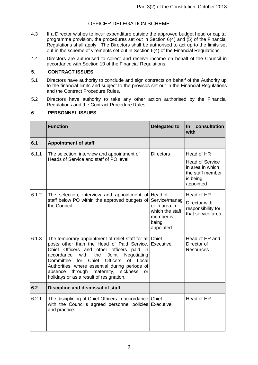- 4.3 If a Director wishes to incur expenditure outside the approved budget head or capital programme provision, the procedures set out in Section 6(4) and (5) of the Financial Regulations shall apply. The Directors shall be authorised to act up to the limits set out in the scheme of virements set out in Section 6(4) of the Financial Regulations.
- 4.4 Directors are authorised to collect and receive income on behalf of the Council in accordance with Section 10 of the Financial Regulations.

#### <span id="page-9-0"></span>**5. CONTRACT ISSUES**

- 5.1 Directors have authority to conclude and sign contracts on behalf of the Authority up to the financial limits and subject to the provisos set out in the Financial Regulations and the Contract Procedure Rules.
- 5.2 Directors have authority to take any other action authorised by the Financial Regulations and the Contract Procedure Rules.

#### <span id="page-9-1"></span>**6. PERSONNEL ISSUES**

|       | <b>Function</b>                                                                                                                                                                                                                                                                                                                                                                                                                     | <b>Delegated to</b>                                                                  | consultation<br><u>In</u><br>with                                                                     |
|-------|-------------------------------------------------------------------------------------------------------------------------------------------------------------------------------------------------------------------------------------------------------------------------------------------------------------------------------------------------------------------------------------------------------------------------------------|--------------------------------------------------------------------------------------|-------------------------------------------------------------------------------------------------------|
| 6.1   | <b>Appointment of staff</b>                                                                                                                                                                                                                                                                                                                                                                                                         |                                                                                      |                                                                                                       |
| 6.1.1 | The selection, interview and appointment of<br>Heads of Service and staff of PO level.                                                                                                                                                                                                                                                                                                                                              | <b>Directors</b>                                                                     | Head of HR<br><b>Head of Service</b><br>in area in which<br>the staff member<br>is being<br>appointed |
| 6.1.2 | The selection, interview and appointment of Head of<br>staff below PO within the approved budgets of<br>the Council                                                                                                                                                                                                                                                                                                                 | Service/manag<br>er in area in<br>which the staff<br>member is<br>being<br>appointed | Head of HR<br>Director with<br>responsibility for<br>that service area                                |
| 6.1.3 | The temporary appointment of relief staff for all Chief<br>posts other than the Head of Paid Service, Executive<br>Chief Officers and other officers paid<br>in<br>with<br>the<br>Joint<br>Negotiating<br>accordance<br>Chief<br><b>Officers</b><br>of Local<br>Committee<br>for<br>Authorities, where essential during periods of<br>through<br>maternity,<br>sickness<br>absence<br>or<br>holidays or as a result of resignation. |                                                                                      | Head of HR and<br>Director of<br><b>Resources</b>                                                     |
| 6.2   | Discipline and dismissal of staff                                                                                                                                                                                                                                                                                                                                                                                                   |                                                                                      |                                                                                                       |
| 6.2.1 | The disciplining of Chief Officers in accordance Chief<br>with the Council's agreed personnel policies Executive<br>and practice.                                                                                                                                                                                                                                                                                                   |                                                                                      | Head of HR                                                                                            |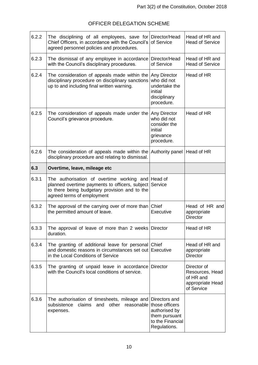| 6.2.2 | The disciplining of all employees, save for<br>Chief Officers, in accordance with the Council's<br>agreed personnel policies and procedures.                                               | Director/Head<br>of Service                                                           | Head of HR and<br><b>Head of Service</b>                                      |
|-------|--------------------------------------------------------------------------------------------------------------------------------------------------------------------------------------------|---------------------------------------------------------------------------------------|-------------------------------------------------------------------------------|
| 6.2.3 | The dismissal of any employee in accordance<br>with the Council's disciplinary procedures.                                                                                                 | Director/Head<br>of Service                                                           | Head of HR and<br><b>Head of Service</b>                                      |
| 6.2.4 | The consideration of appeals made within the<br>disciplinary procedure on disciplinary sanctions<br>up to and including final written warning.                                             | Any Director<br>who did not<br>undertake the<br>initial<br>disciplinary<br>procedure. | Head of HR                                                                    |
| 6.2.5 | The consideration of appeals made under the Any Director<br>Council's grievance procedure.                                                                                                 | who did not<br>consider the<br>initial<br>grievance<br>procedure.                     | Head of HR                                                                    |
| 6.2.6 | The consideration of appeals made within the Authority panel Head of HR<br>disciplinary procedure and relating to dismissal.                                                               |                                                                                       |                                                                               |
| 6.3   | Overtime, leave, mileage etc                                                                                                                                                               |                                                                                       |                                                                               |
| 6.3.1 | The authorisation of overtime working and Head of<br>planned overtime payments to officers, subject Service<br>to there being budgetary provision and to the<br>agreed terms of employment |                                                                                       |                                                                               |
| 6.3.2 | The approval of the carrying over of more than Chief<br>the permitted amount of leave.                                                                                                     | Executive                                                                             | Head of HR and<br>appropriate<br><b>Director</b>                              |
| 6.3.3 | The approval of leave of more than 2 weeks Director<br>duration.                                                                                                                           |                                                                                       | Head of HR                                                                    |
| 6.3.4 | The granting of additional leave for personal Chief<br>and domestic reasons in circumstances set out Executive<br>in the Local Conditions of Service                                       |                                                                                       | Head of HR and<br>appropriate<br><b>Director</b>                              |
| 6.3.5 | The granting of unpaid leave in accordance<br>with the Council's local conditions of service.                                                                                              | <b>Director</b>                                                                       | Director of<br>Resources, Head<br>of HR and<br>appropriate Head<br>of Service |
| 6.3.6 | The authorisation of timesheets, mileage and                                                                                                                                               | Directors and                                                                         |                                                                               |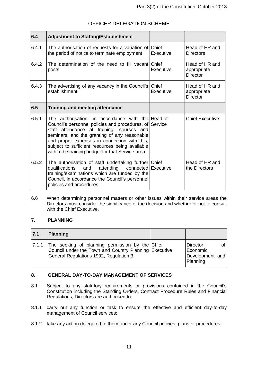| 6.4   | <b>Adjustment to Staffing/Establishment</b>                                                                                                                                                                                                                                                                                                                       |                    |                                                  |
|-------|-------------------------------------------------------------------------------------------------------------------------------------------------------------------------------------------------------------------------------------------------------------------------------------------------------------------------------------------------------------------|--------------------|--------------------------------------------------|
| 6.4.1 | The authorisation of requests for a variation of<br>the period of notice to terminate employment                                                                                                                                                                                                                                                                  | Chief<br>Executive | Head of HR and<br><b>Directors</b>               |
| 6.4.2 | The determination of the need to fill vacant Chief<br>posts                                                                                                                                                                                                                                                                                                       | Executive          | Head of HR and<br>appropriate<br><b>Director</b> |
| 6.4.3 | The advertising of any vacancy in the Council's<br>establishment                                                                                                                                                                                                                                                                                                  | Chief<br>Executive | Head of HR and<br>appropriate<br><b>Director</b> |
| 6.5   | <b>Training and meeting attendance</b>                                                                                                                                                                                                                                                                                                                            |                    |                                                  |
| 6.5.1 | The authorisation, in accordance with the Head of<br>Council's personnel policies and procedures, of Service<br>staff attendance at training, courses and<br>seminars, and the granting of any reasonable<br>and proper expenses in connection with this,<br>subject to sufficient resources being available<br>within the training budget for that Service area. |                    | <b>Chief Executive</b>                           |
| 6.5.2 | The authorisation of staff undertaking further Chief<br>attending<br>qualifications<br>and<br>connected Executive<br>training/examinations which are funded by the<br>Council, in accordance the Council's personnel<br>policies and procedures                                                                                                                   |                    | Head of HR and<br>the Directors                  |

6.6 When determining personnel matters or other issues within their service areas the Directors must consider the significance of the decision and whether or not to consult with the Chief Executive.

#### <span id="page-11-0"></span>**7. PLANNING**

| 7.1   | <b>Planning</b>                                                                                                                                    |                                                             |
|-------|----------------------------------------------------------------------------------------------------------------------------------------------------|-------------------------------------------------------------|
| 7.1.1 | The seeking of planning permission by the Chief<br>Council under the Town and Country Planning Executive<br>General Regulations 1992, Regulation 3 | of l<br>Director<br>Economic<br>Development and<br>Planning |

#### <span id="page-11-1"></span>**8. GENERAL DAY-TO-DAY MANAGEMENT OF SERVICES**

- 8.1 Subject to any statutory requirements or provisions contained in the Council's Constitution including the Standing Orders, Contract Procedure Rules and Financial Regulations, Directors are authorised to:
- 8.1.1 carry out any function or task to ensure the effective and efficient day-to-day management of Council services;
- 8.1.2 take any action delegated to them under any Council policies, plans or procedures;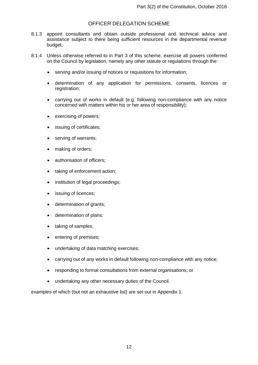- 8.1.3 appoint consultants and obtain outside professional and technical advice and assistance subject to there being sufficient resources in the departmental revenue budget;
- 8.1.4 Unless otherwise referred to in Part 3 of this scheme, exercise all powers conferred on the Council by legislation, namely any other statute or regulations through the:
	- serving and/or issuing of notices or requisitions for information;
	- determination of any application for permissions, consents, licences or registration;
	- carrying out of works in default (e.g. following non-compliance with any notice concerned with matters within his or her area of responsibility);
	- exercising of powers;
	- issuing of certificates:
	- serving of warrants;
	- making of orders;
	- authorisation of officers;
	- taking of enforcement action;
	- institution of legal proceedings;
	- issuing of licences;
	- determination of grants;
	- determination of plans;
	- taking of samples;
	- entering of premises;
	- undertaking of data matching exercises;
	- carrying out of any works in default following non-compliance with any notice;
	- responding to formal consultations from external organisations; or
	- undertaking any other necessary duties of the Council.

examples of which (but not an exhaustive list) are set out in Appendix 1.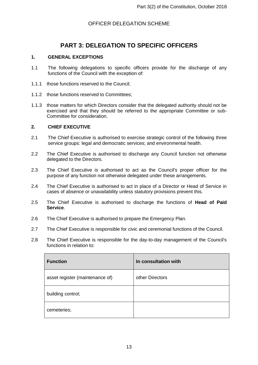## **PART 3: DELEGATION TO SPECIFIC OFFICERS**

#### <span id="page-13-1"></span><span id="page-13-0"></span>**1. GENERAL EXCEPTIONS**

- 1.1 The following delegations to specific officers provide for the discharge of any functions of the Council with the exception of:
- 1.1.1 those functions reserved to the Council;
- 1.1.2 those functions reserved to Committees;
- 1.1.3 those matters for which Directors consider that the delegated authority should not be exercised and that they should be referred to the appropriate Committee or sub-Committee for consideration.

#### <span id="page-13-2"></span>**2. CHIEF EXECUTIVE**

- 2.1 The Chief Executive is authorised to exercise strategic control of the following three service groups: legal and democratic services; and environmental health.
- 2.2 The Chief Executive is authorised to discharge any Council function not otherwise delegated to the Directors.
- 2.3 The Chief Executive is authorised to act as the Council's proper officer for the purpose of any function not otherwise delegated under these arrangements.
- 2.4 The Chief Executive is authorised to act in place of a Director or Head of Service in cases of absence or unavailability unless statutory provisions prevent this.
- 2.5 The Chief Executive is authorised to discharge the functions of **Head of Paid Service**.
- 2.6 The Chief Executive is authorised to prepare the Emergency Plan.
- 2.7 The Chief Executive is responsible for civic and ceremonial functions of the Council.
- 2.8 The Chief Executive is responsible for the day-to-day management of the Council's functions in relation to:

| <b>Function</b>                 | In consultation with |
|---------------------------------|----------------------|
| asset register (maintenance of) | other Directors      |
| building control;               |                      |
| cemeteries;                     |                      |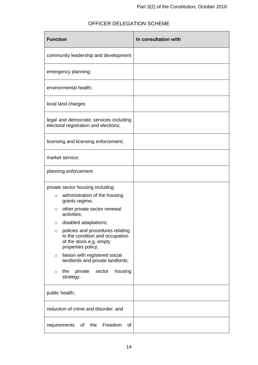| <b>Function</b>                                                                                                           | In consultation with |
|---------------------------------------------------------------------------------------------------------------------------|----------------------|
| community leadership and development                                                                                      |                      |
| emergency planning;                                                                                                       |                      |
| environmental health;                                                                                                     |                      |
| local land charges                                                                                                        |                      |
| legal and democratic services including<br>electoral registration and elections;                                          |                      |
| licensing and licensing enforcement;                                                                                      |                      |
| market service;                                                                                                           |                      |
| planning enforcement                                                                                                      |                      |
| private sector housing including:                                                                                         |                      |
| administration of the housing<br>$\circ$<br>grants regime;                                                                |                      |
| other private sector renewal<br>O<br>activities;                                                                          |                      |
| disabled adaptations;<br>$\circ$                                                                                          |                      |
| policies and procedures relating<br>O<br>to the condition and occupation<br>of the stock e.g. empty<br>properties policy; |                      |
| liaison with registered social<br>O<br>landlords and private landlords;                                                   |                      |
| housing<br>the<br>private<br>sector<br>$\circ$<br>strategy.                                                               |                      |
| public health;                                                                                                            |                      |
| reduction of crime and disorder; and                                                                                      |                      |
| requirements<br>of the<br>Freedom<br>0f                                                                                   |                      |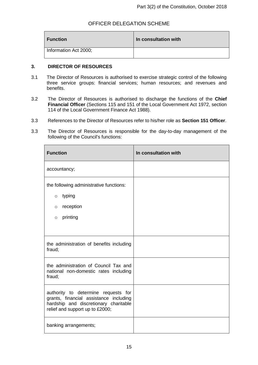| <b>Function</b>       | In consultation with |
|-----------------------|----------------------|
| Information Act 2000; |                      |

#### <span id="page-15-0"></span>**3. DIRECTOR OF RESOURCES**

- 3.1 The Director of Resources is authorised to exercise strategic control of the following three service groups: financial services; human resources; and revenues and benefits.
- 3.2 The Director of Resources is authorised to discharge the functions of the **Chief Financial Officer** (Sections 115 and 151 of the Local Government Act 1972, section 114 of the Local Government Finance Act 1988).
- 3.3 References to the Director of Resources refer to his/her role as **Section 151 Officer**.
- 3.3 The Director of Resources is responsible for the day-to-day management of the following of the Council's functions:

| <b>Function</b>                                                                                                                                           | In consultation with |
|-----------------------------------------------------------------------------------------------------------------------------------------------------------|----------------------|
| accountancy;                                                                                                                                              |                      |
| the following administrative functions:                                                                                                                   |                      |
| typing<br>$\circ$                                                                                                                                         |                      |
| reception<br>$\circ$                                                                                                                                      |                      |
| printing<br>$\circ$                                                                                                                                       |                      |
|                                                                                                                                                           |                      |
| the administration of benefits including<br>fraud;                                                                                                        |                      |
| the administration of Council Tax and<br>national non-domestic rates including<br>fraud;                                                                  |                      |
| authority to determine requests for<br>grants, financial assistance including<br>hardship and discretionary charitable<br>relief and support up to £2000; |                      |
| banking arrangements;                                                                                                                                     |                      |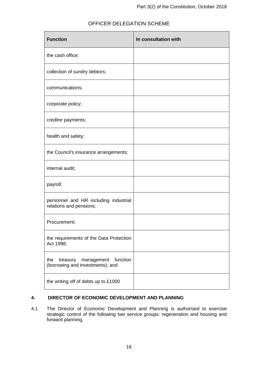| <b>Function</b>                                                               | In consultation with |
|-------------------------------------------------------------------------------|----------------------|
| the cash office;                                                              |                      |
| collection of sundry debtors;                                                 |                      |
| communications;                                                               |                      |
| corporate policy;                                                             |                      |
| creditor payments;                                                            |                      |
| health and safety;                                                            |                      |
| the Council's insurance arrangements;                                         |                      |
| internal audit;                                                               |                      |
| payroll;                                                                      |                      |
| personnel and HR including industrial<br>relations and pensions;              |                      |
| Procurement;                                                                  |                      |
| the requirements of the Data Protection<br>Act 1998;                          |                      |
| function<br>the<br>treasury<br>management<br>(borrowing and investments); and |                      |
| the writing off of debts up to £1000                                          |                      |

#### <span id="page-16-0"></span>**4. DIRECTOR OF ECONOMIC DEVELOPMENT AND PLANNING**

4.1 The Director of Economic Development and Planning is authorised to exercise strategic control of the following two service groups: regeneration and housing and forward planning.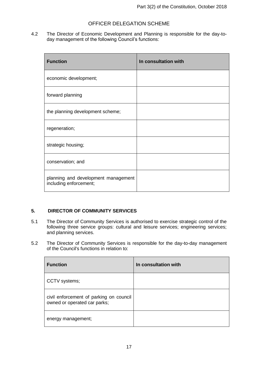4.2 The Director of Economic Development and Planning is responsible for the day-today management of the following Council's functions:

| <b>Function</b>                                               | In consultation with |
|---------------------------------------------------------------|----------------------|
| economic development;                                         |                      |
| forward planning                                              |                      |
| the planning development scheme;                              |                      |
| regeneration;                                                 |                      |
| strategic housing;                                            |                      |
| conservation; and                                             |                      |
| planning and development management<br>including enforcement; |                      |

#### <span id="page-17-0"></span>**5. DIRECTOR OF COMMUNITY SERVICES**

- 5.1 The Director of Community Services is authorised to exercise strategic control of the following three service groups: cultural and leisure services; engineering services; and planning services.
- 5.2 The Director of Community Services is responsible for the day-to-day management of the Council's functions in relation to:

| <b>Function</b>                                                         | In consultation with |
|-------------------------------------------------------------------------|----------------------|
| CCTV systems;                                                           |                      |
| civil enforcement of parking on council<br>owned or operated car parks; |                      |
| energy management;                                                      |                      |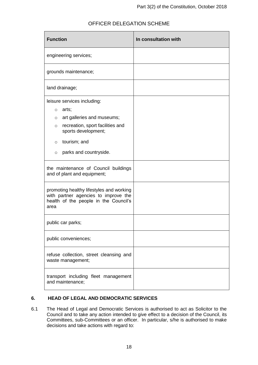| <b>Function</b>                                                                                                                                                                                                                | In consultation with |
|--------------------------------------------------------------------------------------------------------------------------------------------------------------------------------------------------------------------------------|----------------------|
| engineering services;                                                                                                                                                                                                          |                      |
| grounds maintenance;                                                                                                                                                                                                           |                      |
| land drainage;                                                                                                                                                                                                                 |                      |
| leisure services including:<br>arts;<br>$\circ$<br>art galleries and museums;<br>$\circ$<br>recreation, sport facilities and<br>$\circ$<br>sports development;<br>tourism; and<br>$\circ$<br>parks and countryside.<br>$\circ$ |                      |
| the maintenance of Council buildings<br>and of plant and equipment;                                                                                                                                                            |                      |
| promoting healthy lifestyles and working<br>with partner agencies to improve the<br>health of the people in the Council's<br>area                                                                                              |                      |
| public car parks;                                                                                                                                                                                                              |                      |
| public conveniences;                                                                                                                                                                                                           |                      |
| refuse collection, street cleansing and<br>waste management;                                                                                                                                                                   |                      |
| transport including fleet management<br>and maintenance;                                                                                                                                                                       |                      |

#### <span id="page-18-0"></span>**6. HEAD OF LEGAL AND DEMOCRATIC SERVICES**

6.1 The Head of Legal and Democratic Services is authorised to act as Solicitor to the Council and to take any action intended to give effect to a decision of the Council, its Committees, sub-Committees or an officer. In particular, s/he is authorised to make decisions and take actions with regard to: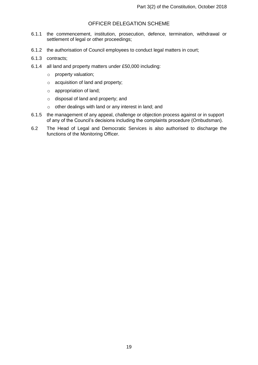- 6.1.1 the commencement, institution, prosecution, defence, termination, withdrawal or settlement of legal or other proceedings;
- 6.1.2 the authorisation of Council employees to conduct legal matters in court;
- 6.1.3 contracts;
- 6.1.4 all land and property matters under £50,000 including:
	- o property valuation;
	- o acquisition of land and property;
	- o appropriation of land;
	- o disposal of land and property; and
	- o other dealings with land or any interest in land; and
- 6.1.5 the management of any appeal, challenge or objection process against or in support of any of the Council's decisions including the complaints procedure (Ombudsman).
- 6.2 The Head of Legal and Democratic Services is also authorised to discharge the functions of the Monitoring Officer.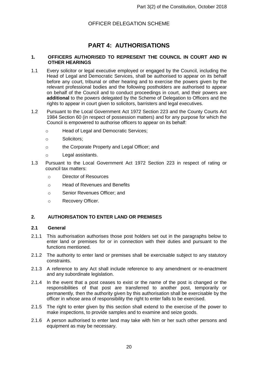## **PART 4: AUTHORISATIONS**

#### <span id="page-20-1"></span><span id="page-20-0"></span>**1. OFFICERS AUTHORISED TO REPRESENT THE COUNCIL IN COURT AND IN OTHER HEARINGS**

- 1.1 Every solicitor or legal executive employed or engaged by the Council, including the Head of Legal and Democratic Services, shall be authorised to appear on its behalf before any court, tribunal or other hearing and to exercise the powers given by the relevant professional bodies and the following postholders are authorised to appear on behalf of the Council and to conduct proceedings in court, and their powers are **additional** to the powers delegated by the Scheme of Delegation to Officers and the rights to appear in court given to solicitors, barristers and legal executives.
- 1.2 Pursuant to the Local Government Act 1972 Section 223 and the County Courts Act 1984 Section 60 (in respect of possession matters) and for any purpose for which the Council is empowered to authorise officers to appear on its behalf:
	- o Head of Legal and Democratic Services;
	- o Solicitors;
	- o the Corporate Property and Legal Officer; and
	- o Legal assistants.
- 1.3 Pursuant to the Local Government Act 1972 Section 223 in respect of rating or council tax matters:
	- o Director of Resources
	- o Head of Revenues and Benefits
	- o Senior Revenues Officer; and
	- o Recovery Officer.

#### <span id="page-20-2"></span>**2. AUTHORISATION TO ENTER LAND OR PREMISES**

#### <span id="page-20-3"></span>**2.1 General**

- 2.1.1 This authorisation authorises those post holders set out in the paragraphs below to enter land or premises for or in connection with their duties and pursuant to the functions mentioned.
- 2.1.2 The authority to enter land or premises shall be exercisable subject to any statutory constraints.
- 2.1.3 A reference to any Act shall include reference to any amendment or re-enactment and any subordinate legislation.
- 2.1.4 In the event that a post ceases to exist or the name of the post is changed or the responsibilities of that post are transferred to another post, temporarily or permanently, then the authority given by this authorisation shall be exercisable by the officer in whose area of responsibility the right to enter falls to be exercised.
- 2.1.5 The right to enter given by this section shall extend to the exercise of the power to make inspections, to provide samples and to examine and seize goods.
- 2.1.6 A person authorised to enter land may take with him or her such other persons and equipment as may be necessary.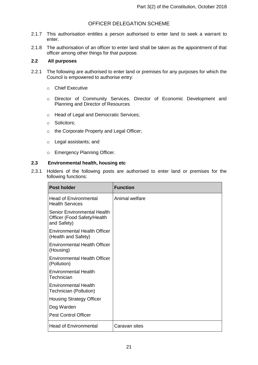- 2.1.7 This authorisation entitles a person authorised to enter land to seek a warrant to enter.
- 2.1.8 The authorisation of an officer to enter land shall be taken as the appointment of that officer among other things for that purpose.

#### <span id="page-21-0"></span>**2.2 All purposes**

- 2.2.1 The following are authorised to enter land or premises for any purposes for which the Council is empowered to authorise entry:
	- o Chief Executive
	- o Director of Community Services, Director of Economic Development and Planning and Director of Resources
	- o Head of Legal and Democratic Services;
	- o Solicitors;
	- o the Corporate Property and Legal Officer;
	- o Legal assistants; and
	- o Emergency Planning Officer.

#### <span id="page-21-1"></span>**2.3 Environmental health, housing etc**

2.3.1 Holders of the following posts are authorised to enter land or premises for the following functions:

| <b>Post holder</b>                                                        | <b>Function</b> |
|---------------------------------------------------------------------------|-----------------|
| <b>Head of Environmental</b><br><b>Health Services</b>                    | Animal welfare  |
| Senior Environmental Health<br>Officer (Food Safety/Health<br>and Safety) |                 |
| <b>Environmental Health Officer</b><br>(Health and Safety)                |                 |
| <b>Environmental Health Officer</b><br>(Housing)                          |                 |
| Environmental Health Officer<br>(Pollution)                               |                 |
| <b>Environmental Health</b><br>Technician                                 |                 |
| <b>Environmental Health</b><br>Technician (Pollution)                     |                 |
| <b>Housing Strategy Officer</b>                                           |                 |
| Dog Warden                                                                |                 |
| <b>Pest Control Officer</b>                                               |                 |
| <b>Head of Environmental</b>                                              | Caravan sites   |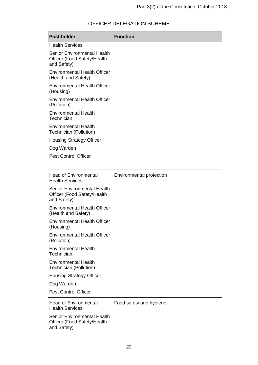| <b>Post holder</b>                                                        | <b>Function</b>          |
|---------------------------------------------------------------------------|--------------------------|
| <b>Health Services</b>                                                    |                          |
| Senior Environmental Health<br>Officer (Food Safety/Health<br>and Safety) |                          |
| <b>Environmental Health Officer</b><br>(Health and Safety)                |                          |
| <b>Environmental Health Officer</b><br>(Housing)                          |                          |
| <b>Environmental Health Officer</b><br>(Pollution)                        |                          |
| <b>Environmental Health</b><br>Technician                                 |                          |
| <b>Environmental Health</b><br>Technician (Pollution)                     |                          |
| <b>Housing Strategy Officer</b>                                           |                          |
| Dog Warden                                                                |                          |
| <b>Pest Control Officer</b>                                               |                          |
|                                                                           |                          |
| <b>Head of Environmental</b><br><b>Health Services</b>                    | Environmental protection |
| Senior Environmental Health<br>Officer (Food Safety/Health<br>and Safety) |                          |
| <b>Environmental Health Officer</b><br>(Health and Safety)                |                          |
| <b>Environmental Health Officer</b><br>(Housing)                          |                          |
| <b>Environmental Health Officer</b><br>(Pollution)                        |                          |
| <b>Environmental Health</b><br>Technician                                 |                          |
| <b>Environmental Health</b><br><b>Technician (Pollution)</b>              |                          |
| <b>Housing Strategy Officer</b>                                           |                          |
| Dog Warden                                                                |                          |
| <b>Pest Control Officer</b>                                               |                          |
| <b>Head of Environmental</b><br><b>Health Services</b>                    | Food safety and hygiene  |
| Senior Environmental Health<br>Officer (Food Safety/Health<br>and Safety) |                          |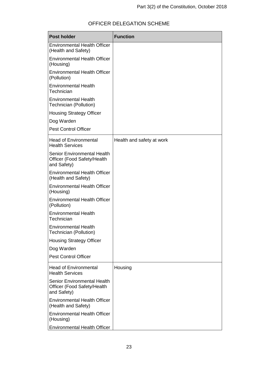| <b>Post holder</b>                                                        | <b>Function</b>           |
|---------------------------------------------------------------------------|---------------------------|
| <b>Environmental Health Officer</b><br>(Health and Safety)                |                           |
| <b>Environmental Health Officer</b><br>(Housing)                          |                           |
| <b>Environmental Health Officer</b><br>(Pollution)                        |                           |
| <b>Environmental Health</b><br>Technician                                 |                           |
| <b>Environmental Health</b><br>Technician (Pollution)                     |                           |
| <b>Housing Strategy Officer</b>                                           |                           |
| Dog Warden                                                                |                           |
| <b>Pest Control Officer</b>                                               |                           |
| <b>Head of Environmental</b><br><b>Health Services</b>                    | Health and safety at work |
| Senior Environmental Health<br>Officer (Food Safety/Health<br>and Safety) |                           |
| <b>Environmental Health Officer</b><br>(Health and Safety)                |                           |
| <b>Environmental Health Officer</b><br>(Housing)                          |                           |
| <b>Environmental Health Officer</b><br>(Pollution)                        |                           |
| <b>Environmental Health</b><br>Technician                                 |                           |
| <b>Environmental Health</b><br><b>Technician (Pollution)</b>              |                           |
| <b>Housing Strategy Officer</b>                                           |                           |
| Dog Warden                                                                |                           |
| <b>Pest Control Officer</b>                                               |                           |
| <b>Head of Environmental</b><br><b>Health Services</b>                    | Housing                   |
| Senior Environmental Health<br>Officer (Food Safety/Health<br>and Safety) |                           |
| <b>Environmental Health Officer</b><br>(Health and Safety)                |                           |
| <b>Environmental Health Officer</b><br>(Housing)                          |                           |
| <b>Environmental Health Officer</b>                                       |                           |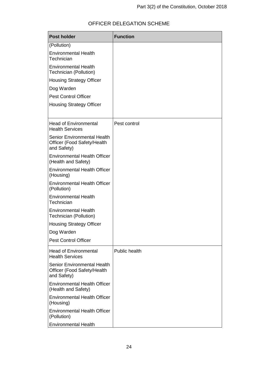| <b>Post holder</b>                                                        | <b>Function</b>      |
|---------------------------------------------------------------------------|----------------------|
| (Pollution)                                                               |                      |
| <b>Environmental Health</b><br>Technician                                 |                      |
| <b>Environmental Health</b><br>Technician (Pollution)                     |                      |
| <b>Housing Strategy Officer</b>                                           |                      |
| Dog Warden                                                                |                      |
| <b>Pest Control Officer</b>                                               |                      |
| <b>Housing Strategy Officer</b>                                           |                      |
| <b>Head of Environmental</b><br><b>Health Services</b>                    | Pest control         |
| Senior Environmental Health<br>Officer (Food Safety/Health<br>and Safety) |                      |
| <b>Environmental Health Officer</b><br>(Health and Safety)                |                      |
| <b>Environmental Health Officer</b><br>(Housing)                          |                      |
| <b>Environmental Health Officer</b><br>(Pollution)                        |                      |
| <b>Environmental Health</b><br>Technician                                 |                      |
| <b>Environmental Health</b><br>Technician (Pollution)                     |                      |
| <b>Housing Strategy Officer</b>                                           |                      |
| Dog Warden                                                                |                      |
| <b>Pest Control Officer</b>                                               |                      |
| <b>Head of Environmental</b><br><b>Health Services</b>                    | <b>Public health</b> |
| Senior Environmental Health<br>Officer (Food Safety/Health<br>and Safety) |                      |
| <b>Environmental Health Officer</b><br>(Health and Safety)                |                      |
| <b>Environmental Health Officer</b><br>(Housing)                          |                      |
| <b>Environmental Health Officer</b><br>(Pollution)                        |                      |
| <b>Environmental Health</b>                                               |                      |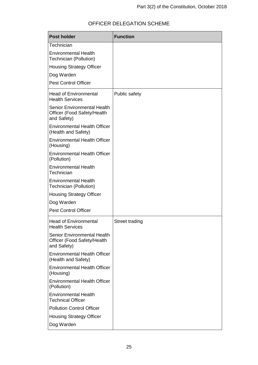### **Post holder Function Technician** Environmental Health Technician (Pollution) Housing Strategy Officer Dog Warden Pest Control Officer Head of Environmental Health Services Senior Environmental Health Officer (Food Safety/Health and Safety) Environmental Health Officer (Health and Safety) Environmental Health Officer (Housing) Environmental Health Officer (Pollution) Environmental Health **Technician** Environmental Health Technician (Pollution) Housing Strategy Officer Dog Warden Pest Control Officer Public safety Head of Environmental Health Services Senior Environmental Health Officer (Food Safety/Health and Safety) Environmental Health Officer (Health and Safety) Environmental Health Officer (Housing) Environmental Health Officer (Pollution) Environmental Health Technical Officer Pollution Control Officer Street trading

#### OFFICER DELEGATION SCHEME

Housing Strategy Officer

Dog Warden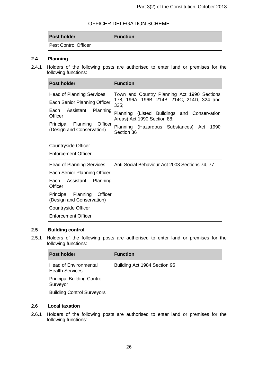| <b>Post holder</b>   | <b>Function</b> |
|----------------------|-----------------|
| Pest Control Officer |                 |

#### <span id="page-26-0"></span>**2.4 Planning**

2.4.1 Holders of the following posts are authorised to enter land or premises for the following functions:

| <b>Post holder</b>                                         | <b>Function</b>                                                            |
|------------------------------------------------------------|----------------------------------------------------------------------------|
| <b>Head of Planning Services</b>                           | Town and Country Planning Act 1990 Sections                                |
| Each Senior Planning Officer                               | 178, 196A, 196B, 214B, 214C, 214D, 324 and<br>325;                         |
| Each Assistant Planning<br>Officer                         | Planning (Listed Buildings and Conservation<br>Areas) Act 1990 Section 88; |
| Principal Planning<br>Officer<br>(Design and Conservation) | Planning (Hazardous Substances) Act<br>1990<br>Section 36                  |
| Countryside Officer                                        |                                                                            |
| Enforcement Officer                                        |                                                                            |
| <b>Head of Planning Services</b>                           | Anti-Social Behaviour Act 2003 Sections 74, 77                             |
| Each Senior Planning Officer                               |                                                                            |
| Each Assistant Planning<br>Officer                         |                                                                            |
| Officer<br>Principal Planning<br>(Design and Conservation) |                                                                            |
| Countryside Officer                                        |                                                                            |
| <b>Enforcement Officer</b>                                 |                                                                            |

#### <span id="page-26-1"></span>**2.5 Building control**

2.5.1 Holders of the following posts are authorised to enter land or premises for the following functions:

| <b>Post holder</b>                                     | <b>Function</b>              |
|--------------------------------------------------------|------------------------------|
| <b>Head of Environmental</b><br><b>Health Services</b> | Building Act 1984 Section 95 |
| <b>Principal Building Control</b><br>Surveyor          |                              |
| <b>Building Control Surveyors</b>                      |                              |

#### <span id="page-26-2"></span>**2.6 Local taxation**

2.6.1 Holders of the following posts are authorised to enter land or premises for the following functions: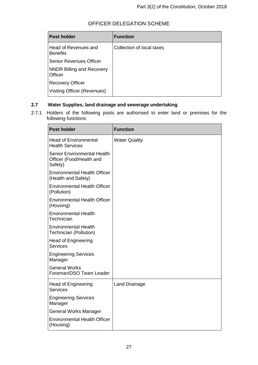| OFFICER DELEGATION SCHEME |  |
|---------------------------|--|
|---------------------------|--|

| <b>Post holder</b>                          | <b>Function</b>           |
|---------------------------------------------|---------------------------|
| Head of Revenues and<br><b>Benefits</b>     | Collection of local taxes |
| <b>Senior Revenues Officer</b>              |                           |
| <b>NNDR Billing and Recovery</b><br>Officer |                           |
| <b>Recovery Officer</b>                     |                           |
| Visiting Officer (Revenues)                 |                           |

#### <span id="page-27-0"></span>**2.7 Water Supplies, land drainage and sewerage undertaking**

2.7.1 Holders of the following posts are authorised to enter land or premises for the following functions:

| <b>Post holder</b>                                                 | <b>Function</b>      |
|--------------------------------------------------------------------|----------------------|
| <b>Head of Environmental</b><br><b>Health Services</b>             | <b>Water Quality</b> |
| Senior Environmental Health<br>Officer (Food/Health and<br>Safety) |                      |
| <b>Environmental Health Officer</b><br>(Health and Safety)         |                      |
| <b>Environmental Health Officer</b><br>(Pollution)                 |                      |
| <b>Environmental Health Officer</b><br>(Housing)                   |                      |
| <b>Environmental Health</b><br>Technician                          |                      |
| <b>Environmental Health</b><br>Technician (Pollution)              |                      |
| <b>Head of Engineering</b><br><b>Services</b>                      |                      |
| <b>Engineering Services</b><br>Manager                             |                      |
| <b>General Works</b><br>Foreman/DSO Team Leader                    |                      |
| <b>Head of Engineering</b><br><b>Services</b>                      | <b>Land Drainage</b> |
| <b>Engineering Services</b><br>Manager                             |                      |
| General Works Manager                                              |                      |
| <b>Environmental Health Officer</b><br>(Housing)                   |                      |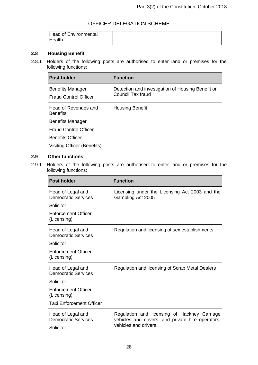| <b>Head of Environmental</b><br>Health |  |
|----------------------------------------|--|
|----------------------------------------|--|

#### <span id="page-28-0"></span>**2.8 Housing Benefit**

2.8.1 Holders of the following posts are authorised to enter land or premises for the following functions:

| <b>Post holder</b>                                      | <b>Function</b>                                                        |
|---------------------------------------------------------|------------------------------------------------------------------------|
| <b>Benefits Manager</b><br><b>Fraud Control Officer</b> | Detection and investigation of Housing Benefit or<br>Council Tax fraud |
| Head of Revenues and<br><b>Benefits</b>                 | <b>Housing Benefit</b>                                                 |
| <b>Benefits Manager</b>                                 |                                                                        |
| <b>Fraud Control Officer</b>                            |                                                                        |
| <b>Benefits Officer</b>                                 |                                                                        |
| Visiting Officer (Benefits)                             |                                                                        |

#### <span id="page-28-1"></span>**2.9 Other functions**

2.9.1 Holders of the following posts are authorised to enter land or premises for the following functions:

| <b>Post holder</b>                                           | <b>Function</b>                                                                                                            |
|--------------------------------------------------------------|----------------------------------------------------------------------------------------------------------------------------|
| Head of Legal and<br><b>Democratic Services</b>              | Licensing under the Licensing Act 2003 and the<br>Gambling Act 2005                                                        |
| Solicitor                                                    |                                                                                                                            |
| Enforcement Officer<br>(Licensing)                           |                                                                                                                            |
| Head of Legal and<br><b>Democratic Services</b>              | Regulation and licensing of sex establishments                                                                             |
| Solicitor                                                    |                                                                                                                            |
| Enforcement Officer<br>(Licensing)                           |                                                                                                                            |
| Head of Legal and<br><b>Democratic Services</b>              | Regulation and licensing of Scrap Metal Dealers                                                                            |
| Solicitor                                                    |                                                                                                                            |
| Enforcement Officer<br>(Licensing)                           |                                                                                                                            |
| <b>Taxi Enforcement Officer</b>                              |                                                                                                                            |
| Head of Legal and<br><b>Democratic Services</b><br>Solicitor | Regulation and licensing of Hackney Carriage<br>vehicles and drivers, and private hire operators,<br>vehicles and drivers. |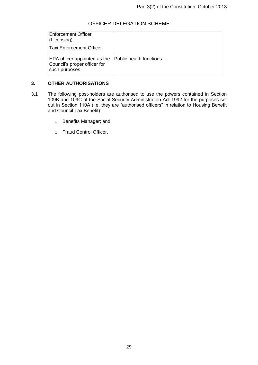| <b>Enforcement Officer</b><br>(Licensing)                                     |                         |
|-------------------------------------------------------------------------------|-------------------------|
| <b>Taxi Enforcement Officer</b>                                               |                         |
| HPA officer appointed as the<br>Council's proper officer for<br>such purposes | Public health functions |

#### <span id="page-29-0"></span>**3. OTHER AUTHORISATIONS**

- 3.1 The following post-holders are authorised to use the powers contained in Section 109B and 109C of the Social Security Administration Act 1992 for the purposes set out in Section 110A (i.e. they are "authorised officers" in relation to Housing Benefit and Council Tax Benefit):
	- o Benefits Manager; and
	- o Fraud Control Officer.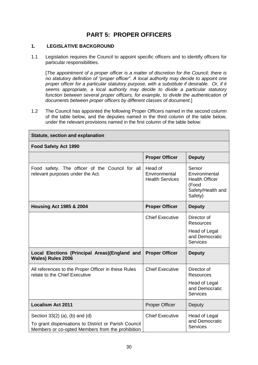## **PART 5: PROPER OFFICERS**

#### <span id="page-30-0"></span>**1. LEGISLATIVE BACKGROUND**

1.1 Legislation requires the Council to appoint specific officers and to identify officers for particular responsibilities.

[*The appointment of a proper officer is a matter of discretion for the Council; there is no statutory definition of "proper officer". A local authority may decide to appoint one proper officer for a particular statutory purpose, with a substitute if desirable. Or, if it seems appropriate, a local authority may decide to divide a particular statutory function between several proper officers, for example, to divide the authentication of documents between proper officers by different classes of document*.]

1.2 The Council has appointed the following Proper Officers named in the second column of the table below, and the deputies named in the third column of the table below, under the relevant provisions named in the first column of the table below:

| <b>Statute, section and explanation</b>                                                                                                    |                                                    |                                                                                           |  |
|--------------------------------------------------------------------------------------------------------------------------------------------|----------------------------------------------------|-------------------------------------------------------------------------------------------|--|
| <b>Food Safety Act 1990</b>                                                                                                                |                                                    |                                                                                           |  |
|                                                                                                                                            | <b>Proper Officer</b>                              | <b>Deputy</b>                                                                             |  |
| Food safety. The officer of the Council for all<br>relevant purposes under the Act.                                                        | Head of<br>Environmental<br><b>Health Services</b> | Senior<br>Environmental<br><b>Health Officer</b><br>(Food<br>Safety/Health and<br>Safety) |  |
| <b>Housing Act 1985 &amp; 2004</b>                                                                                                         | <b>Proper Officer</b>                              | <b>Deputy</b>                                                                             |  |
|                                                                                                                                            | <b>Chief Executive</b>                             | Director of<br><b>Resources</b>                                                           |  |
|                                                                                                                                            |                                                    | Head of Legal<br>and Democratic<br><b>Services</b>                                        |  |
| Local Elections (Principal Areas)(England and<br><b>Wales) Rules 2006</b>                                                                  | <b>Proper Officer</b>                              | <b>Deputy</b>                                                                             |  |
| All references to the Proper Officer in these Rules<br>relate to the Chief Executive                                                       | <b>Chief Executive</b>                             | Director of<br><b>Resources</b>                                                           |  |
|                                                                                                                                            |                                                    | Head of Legal<br>and Democratic<br><b>Services</b>                                        |  |
| <b>Localism Act 2011</b>                                                                                                                   | <b>Proper Officer</b>                              | Deputy                                                                                    |  |
| Section 33(2) (a), (b) and (d)<br>To grant dispensations to District or Parish Council<br>Members or co-opted Members from the prohibition | <b>Chief Executive</b>                             | Head of Legal<br>and Democratic<br><b>Services</b>                                        |  |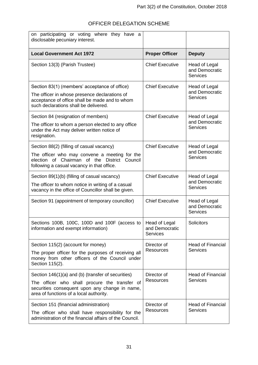| on participating or voting where they have a<br>disclosable pecuniary interest.                                                                                                                  |                                                    |                                                    |
|--------------------------------------------------------------------------------------------------------------------------------------------------------------------------------------------------|----------------------------------------------------|----------------------------------------------------|
| <b>Local Government Act 1972</b>                                                                                                                                                                 | <b>Proper Officer</b>                              | <b>Deputy</b>                                      |
| Section 13(3) (Parish Trustee)                                                                                                                                                                   | <b>Chief Executive</b>                             | Head of Legal<br>and Democratic<br><b>Services</b> |
| Section 83(1) (members' acceptance of office)<br>The officer in whose presence declarations of<br>acceptance of office shall be made and to whom<br>such declarations shall be delivered.        | <b>Chief Executive</b>                             | Head of Legal<br>and Democratic<br><b>Services</b> |
| Section 84 (resignation of members)<br>The officer to whom a person elected to any office<br>under the Act may deliver written notice of<br>resignation.                                         | <b>Chief Executive</b>                             | Head of Legal<br>and Democratic<br><b>Services</b> |
| Section 88(2) (filling of casual vacancy)<br>The officer who may convene a meeting for the<br>election of Chairman of the<br>District Council<br>following a casual vacancy in that office.      | <b>Chief Executive</b>                             | Head of Legal<br>and Democratic<br><b>Services</b> |
| Section 89(1)(b) (filling of casual vacancy)<br>The officer to whom notice in writing of a casual<br>vacancy in the office of Councillor shall be given.                                         | <b>Chief Executive</b>                             | Head of Legal<br>and Democratic<br><b>Services</b> |
| Section 91 (appointment of temporary councillor)                                                                                                                                                 | <b>Chief Executive</b>                             | Head of Legal<br>and Democratic<br><b>Services</b> |
| Sections 100B, 100C, 100D and 100F (access to<br>information and exempt information)                                                                                                             | Head of Legal<br>and Democratic<br><b>Services</b> | <b>Solicitors</b>                                  |
| Section 115(2) (account for money)<br>The proper officer for the purposes of receiving all<br>money from other officers of the Council under<br>Section 115(2).                                  | Director of<br><b>Resources</b>                    | <b>Head of Financial</b><br>Services               |
| Section 146(1)(a) and (b) (transfer of securities)<br>The officer who shall procure the transfer of<br>securities consequent upon any change in name,<br>area of functions of a local authority. | Director of<br><b>Resources</b>                    | <b>Head of Financial</b><br>Services               |
| Section 151 (financial administration)<br>The officer who shall have responsibility for the<br>administration of the financial affairs of the Council.                                           | Director of<br><b>Resources</b>                    | <b>Head of Financial</b><br><b>Services</b>        |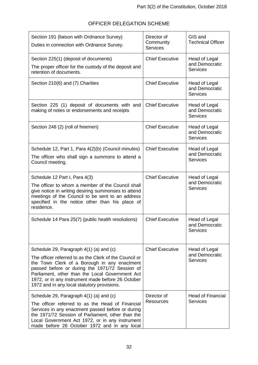| OFFICER DELEGATION SCHEME |
|---------------------------|
|---------------------------|

| Section 191 (liaison with Ordnance Survey)<br>Duties in connection with Ordnance Survey.                                                                                                                                                                                                                                                                   | Director of<br>Community<br><b>Services</b> | GIS and<br><b>Technical Officer</b>                       |
|------------------------------------------------------------------------------------------------------------------------------------------------------------------------------------------------------------------------------------------------------------------------------------------------------------------------------------------------------------|---------------------------------------------|-----------------------------------------------------------|
| Section 225(1) (deposit of documents)<br>The proper officer for the custody of the deposit and<br>retention of documents.                                                                                                                                                                                                                                  | <b>Chief Executive</b>                      | Head of Legal<br>and Democratic<br><b>Services</b>        |
| Section 210(6) and (7) Charities                                                                                                                                                                                                                                                                                                                           | <b>Chief Executive</b>                      | Head of Legal<br>and Democratic<br><b>Services</b>        |
| Section 225 (1) deposit of documents with and<br>making of notes or endorsements and receipts                                                                                                                                                                                                                                                              | <b>Chief Executive</b>                      | Head of Legal<br>and Democratic<br><b>Services</b>        |
| Section 248 (2) (roll of freemen)                                                                                                                                                                                                                                                                                                                          | <b>Chief Executive</b>                      | Head of Legal<br>and Democratic<br><b>Services</b>        |
| Schedule 12, Part 1, Para 4(2)(b) (Council minutes)<br>The officer who shall sign a summons to attend a<br>Council meeting.                                                                                                                                                                                                                                | <b>Chief Executive</b>                      | Head of Legal<br>and Democratic<br><b>Services</b>        |
| Schedule 12 Part I, Para 4(3)<br>The officer to whom a member of the Council shall<br>give notice in writing desiring summonses to attend<br>meetings of the Council to be sent to an address<br>specified in the notice other than his place of<br>residence.                                                                                             | <b>Chief Executive</b>                      | Head of Legal<br>and Democratic<br><b>Services</b>        |
| Schedule 14 Para 25(7) (public health resolutions)                                                                                                                                                                                                                                                                                                         | <b>Chief Executive</b>                      | <b>Head of Legal</b><br>and Democratic<br><b>Services</b> |
| Schedule 29, Paragraph 4(1) (a) and (c)<br>The officer referred to as the Clerk of the Council or<br>the Town Clerk of a Borough in any enactment<br>passed before or during the 1971/72 Session of<br>Parliament, other than the Local Government Act<br>1972, or in any instrument made before 26 October<br>1972 and in any local statutory provisions. | <b>Chief Executive</b>                      | Head of Legal<br>and Democratic<br><b>Services</b>        |
| Schedule 29, Paragraph 4(1) (a) and (c)<br>The officer referred to as the Head of Financial<br>Services in any enactment passed before or during<br>the 1971/72 Session of Parliament, other than the<br>Local Government Act 1972, or in any instrument<br>made before 26 October 1972 and in any local                                                   | Director of<br><b>Resources</b>             | <b>Head of Financial</b><br><b>Services</b>               |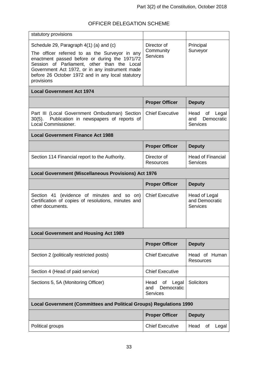| statutory provisions                                                                                                                                                                                                                                                                                           |                                                             |                                                             |
|----------------------------------------------------------------------------------------------------------------------------------------------------------------------------------------------------------------------------------------------------------------------------------------------------------------|-------------------------------------------------------------|-------------------------------------------------------------|
| Schedule 29, Paragraph 4(1) (a) and (c)<br>The officer referred to as the Surveyor in any<br>enactment passed before or during the 1971/72<br>Session of Parliament, other than the Local<br>Government Act 1972, or in any instrument made<br>before 26 October 1972 and in any local statutory<br>provisions | Director of<br>Community<br><b>Services</b>                 | Principal<br>Surveyor                                       |
| <b>Local Government Act 1974</b>                                                                                                                                                                                                                                                                               |                                                             |                                                             |
|                                                                                                                                                                                                                                                                                                                | <b>Proper Officer</b>                                       | <b>Deputy</b>                                               |
| Part III (Local Government Ombudsman) Section<br>Publication in newspapers of reports of<br>$30(5)$ .<br>Local Commissioner.                                                                                                                                                                                   | <b>Chief Executive</b>                                      | Head<br>of<br>Legal<br>and<br>Democratic<br><b>Services</b> |
| <b>Local Government Finance Act 1988</b>                                                                                                                                                                                                                                                                       |                                                             |                                                             |
|                                                                                                                                                                                                                                                                                                                | <b>Proper Officer</b>                                       | <b>Deputy</b>                                               |
| Section 114 Financial report to the Authority.                                                                                                                                                                                                                                                                 | Director of<br><b>Resources</b>                             | <b>Head of Financial</b><br>Services                        |
| <b>Local Government (Miscellaneous Provisions) Act 1976</b>                                                                                                                                                                                                                                                    |                                                             |                                                             |
|                                                                                                                                                                                                                                                                                                                |                                                             |                                                             |
|                                                                                                                                                                                                                                                                                                                | <b>Proper Officer</b>                                       | <b>Deputy</b>                                               |
| Section 41 (evidence of minutes and so on)<br>Certification of copies of resolutions, minutes and<br>other documents.                                                                                                                                                                                          | <b>Chief Executive</b>                                      | <b>Head of Legal</b><br>and Democratic<br><b>Services</b>   |
| <b>Local Government and Housing Act 1989</b>                                                                                                                                                                                                                                                                   |                                                             |                                                             |
|                                                                                                                                                                                                                                                                                                                | <b>Proper Officer</b>                                       | <b>Deputy</b>                                               |
| Section 2 (politically restricted posts)                                                                                                                                                                                                                                                                       | <b>Chief Executive</b>                                      | Head of Human<br><b>Resources</b>                           |
| Section 4 (Head of paid service)                                                                                                                                                                                                                                                                               | <b>Chief Executive</b>                                      |                                                             |
| Sections 5, 5A (Monitoring Officer)                                                                                                                                                                                                                                                                            | of<br>Legal<br>Head<br>Democratic<br>and<br><b>Services</b> | Solicitors                                                  |
| <b>Local Government (Committees and Political Groups) Regulations 1990</b>                                                                                                                                                                                                                                     |                                                             |                                                             |
|                                                                                                                                                                                                                                                                                                                | <b>Proper Officer</b>                                       | <b>Deputy</b>                                               |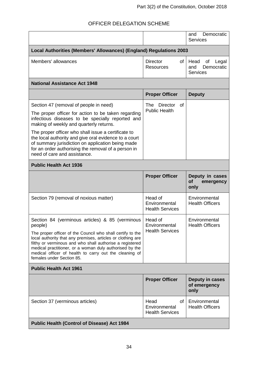|                                                                                                                                                                                                                                                                                                                                                                                                       |                                                       | Democratic<br>and<br><b>Services</b>                        |  |
|-------------------------------------------------------------------------------------------------------------------------------------------------------------------------------------------------------------------------------------------------------------------------------------------------------------------------------------------------------------------------------------------------------|-------------------------------------------------------|-------------------------------------------------------------|--|
| Local Authorities (Members' Allowances) (England) Regulations 2003                                                                                                                                                                                                                                                                                                                                    |                                                       |                                                             |  |
| Members' allowances                                                                                                                                                                                                                                                                                                                                                                                   | <b>Director</b><br>of<br><b>Resources</b>             | Head<br>of<br>Legal<br>and<br>Democratic<br><b>Services</b> |  |
| <b>National Assistance Act 1948</b>                                                                                                                                                                                                                                                                                                                                                                   |                                                       |                                                             |  |
|                                                                                                                                                                                                                                                                                                                                                                                                       | <b>Proper Officer</b>                                 | <b>Deputy</b>                                               |  |
| Section 47 (removal of people in need)                                                                                                                                                                                                                                                                                                                                                                | The Director<br>οf                                    |                                                             |  |
| The proper officer for action to be taken regarding<br>infectious diseases to be specially reported and<br>making of weekly and quarterly returns.                                                                                                                                                                                                                                                    | <b>Public Health</b>                                  |                                                             |  |
| The proper officer who shall issue a certificate to<br>the local authority and give oral evidence to a court<br>of summary jurisdiction on application being made<br>for an order authorising the removal of a person in<br>need of care and assistance.                                                                                                                                              |                                                       |                                                             |  |
| <b>Public Health Act 1936</b>                                                                                                                                                                                                                                                                                                                                                                         |                                                       |                                                             |  |
|                                                                                                                                                                                                                                                                                                                                                                                                       | <b>Proper Officer</b>                                 | Deputy in cases<br>of<br>emergency<br>only                  |  |
| Section 79 (removal of noxious matter)                                                                                                                                                                                                                                                                                                                                                                | Head of<br>Environmental<br><b>Health Services</b>    | Environmental<br><b>Health Officers</b>                     |  |
| Section 84 (verminous articles) & 85 (verminous<br>people)<br>The proper officer of the Council who shall certify to the<br>local authority that any premises, articles or clothing are<br>filthy or verminous and who shall authorise a registered<br>medical practitioner, or a woman duly authorised by the<br>medical officer of health to carry out the cleaning of<br>females under Section 85. | Head of<br>Environmental<br><b>Health Services</b>    | Environmental<br><b>Health Officers</b>                     |  |
| <b>Public Health Act 1961</b>                                                                                                                                                                                                                                                                                                                                                                         |                                                       |                                                             |  |
|                                                                                                                                                                                                                                                                                                                                                                                                       | <b>Proper Officer</b>                                 | Deputy in cases<br>of emergency<br>only                     |  |
| Section 37 (verminous articles)                                                                                                                                                                                                                                                                                                                                                                       | Head<br>of<br>Environmental<br><b>Health Services</b> | Environmental<br><b>Health Officers</b>                     |  |
| <b>Public Health (Control of Disease) Act 1984</b>                                                                                                                                                                                                                                                                                                                                                    |                                                       |                                                             |  |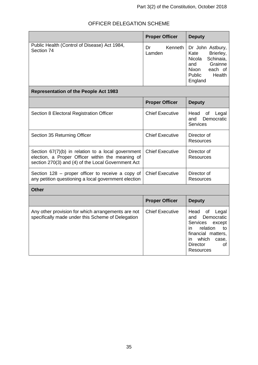|                                                                                                                                                              | <b>Proper Officer</b>   | <b>Deputy</b>                                                                                                                                                                            |
|--------------------------------------------------------------------------------------------------------------------------------------------------------------|-------------------------|------------------------------------------------------------------------------------------------------------------------------------------------------------------------------------------|
| Public Health (Control of Disease) Act 1984,<br>Section 74                                                                                                   | Kenneth<br>Dr<br>Lamden | Dr John Astbury,<br>Kate<br>Brierley,<br><b>Nicola</b><br>Schinaia,<br>Grainne<br>and<br>each of<br>Nixon<br>Public<br>Health<br>England                                                 |
| <b>Representation of the People Act 1983</b>                                                                                                                 |                         |                                                                                                                                                                                          |
|                                                                                                                                                              | <b>Proper Officer</b>   | <b>Deputy</b>                                                                                                                                                                            |
| Section 8 Electoral Registration Officer                                                                                                                     | <b>Chief Executive</b>  | Head<br>of<br>Legal<br>and<br>Democratic<br><b>Services</b>                                                                                                                              |
| Section 35 Returning Officer                                                                                                                                 | <b>Chief Executive</b>  | Director of<br><b>Resources</b>                                                                                                                                                          |
| Section 67(7)(b) in relation to a local government<br>election, a Proper Officer within the meaning of<br>section 270(3) and (4) of the Local Government Act | <b>Chief Executive</b>  | Director of<br><b>Resources</b>                                                                                                                                                          |
| Section $128$ – proper officer to receive a copy of<br>any petition questioning a local government election                                                  | <b>Chief Executive</b>  | Director of<br>Resources                                                                                                                                                                 |
| <b>Other</b>                                                                                                                                                 |                         |                                                                                                                                                                                          |
|                                                                                                                                                              | <b>Proper Officer</b>   | <b>Deputy</b>                                                                                                                                                                            |
| Any other provision for which arrangements are not<br>specifically made under this Scheme of Delegation                                                      | <b>Chief Executive</b>  | Head<br>of<br>Legal<br>Democratic<br>and<br><b>Services</b><br>except<br>relation<br>in<br>to<br>financial matters,<br>which<br>case,<br>in<br><b>Director</b><br>of<br><b>Resources</b> |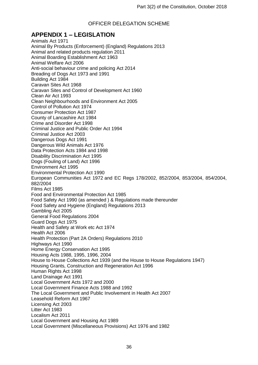## <span id="page-36-0"></span>**APPENDIX 1 – LEGISLATION**

Animals Act 1971 Animal By Products (Enforcement) (England) Regulations 2013 Animal and related products regulation 2011 Animal Boarding Establishment Act 1963 Animal Welfare Act 2006 Anti-social behaviour crime and policing Act 2014 Breading of Dogs Act 1973 and 1991 Building Act 1984 Caravan Sites Act 1968 Caravan Sites and Control of Development Act 1960 Clean Air Act 1993 Clean Neighbourhoods and Environment Act 2005 Control of Pollution Act 1974 Consumer Protection Act 1987 County of Lancashire Act 1984 Crime and Disorder Act 1998 Criminal Justice and Public Order Act 1994 Criminal Justice Act 2003 Dangerous Dogs Act 1991 Dangerous Wild Animals Act 1976 Data Protection Acts 1984 and 1998 Disability Discrimination Act 1995 Dogs (Fouling of Land) Act 1996 Environment Act 1995 Environmental Protection Act 1990 European Communities Act 1972 and EC Regs 178/2002, 852/2004, 853/2004, 854/2004, 882/2004 Films Act 1985 Food and Environmental Protection Act 1985 Food Safety Act 1990 (as amended ) & Regulations made thereunder Food Safety and Hygiene (England) Regulations 2013 Gambling Act 2005 General Food Regulations 2004 Guard Dogs Act 1975 Health and Safety at Work etc Act 1974 Health Act 2006 Health Protection (Part 2A Orders) Regulations 2010 Highways Act 1990 Home Energy Conservation Act 1995 Housing Acts 1988, 1995, 1996, 2004 House to House Collections Act 1939 (and the House to House Regulations 1947) Housing Grants, Construction and Regeneration Act 1996 Human Rights Act 1998 Land Drainage Act 1991 Local Government Acts 1972 and 2000 Local Government Finance Acts 1988 and 1992 The Local Government and Public Involvement in Health Act 2007 Leasehold Reform Act 1967 Licensing Act 2003 Litter Act 1983 Localism Act 2011 Local Government and Housing Act 1989 Local Government (Miscellaneous Provisions) Act 1976 and 1982